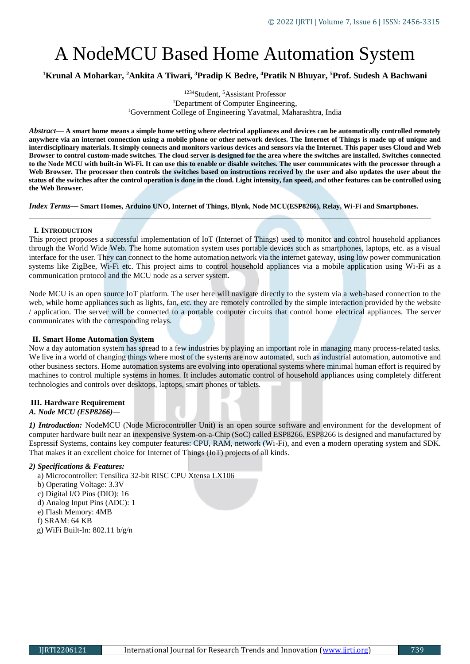# A NodeMCU Based Home Automation System

**<sup>1</sup>Krunal A Moharkar, <sup>2</sup>Ankita A Tiwari, <sup>3</sup>Pradip K Bedre, <sup>4</sup>Pratik N Bhuyar, <sup>5</sup>Prof. Sudesh A Bachwani**

<sup>1234</sup>Student, <sup>5</sup>Assistant Professor <sup>1</sup>Department of Computer Engineering, <sup>1</sup>Government College of Engineering Yavatmal, Maharashtra, India

*Abstract***— A smart home means a simple home setting where electrical appliances and devices can be automatically controlled remotely anywhere via an internet connection using a mobile phone or other network devices. The Internet of Things is made up of unique and interdisciplinary materials. It simply connects and monitors various devices and sensors via the Internet. This paper uses Cloud and Web Browser to control custom-made switches. The cloud server is designed for the area where the switches are installed. Switches connected to the Node MCU with built-in Wi-Fi. It can use this to enable or disable switches. The user communicates with the processor through a**  Web Browser. The processor then controls the switches based on instructions received by the user and also updates the user about the **status of the switches after the control operation is done in the cloud. Light intensity, fan speed, and other features can be controlled using the Web Browser.**

*Index Terms***— Smart Homes, Arduino UNO, Internet of Things, Blynk, Node MCU(ESP8266), Relay, Wi-Fi and Smartphones.** *\_\_\_\_\_\_\_\_\_\_\_\_\_\_\_\_\_\_\_\_\_\_\_\_\_\_\_\_\_\_\_\_\_\_\_\_\_\_\_\_\_\_\_\_\_\_\_\_\_\_\_\_\_\_\_\_\_\_\_\_\_\_\_\_\_\_\_\_\_\_\_\_\_\_\_\_\_\_\_\_\_\_\_\_\_\_\_\_\_\_\_\_\_\_\_\_\_\_\_\_\_\_*

### **I. INTRODUCTION**

This project proposes a successful implementation of IoT (Internet of Things) used to monitor and control household appliances through the World Wide Web. The home automation system uses portable devices such as smartphones, laptops, etc. as a visual interface for the user. They can connect to the home automation network via the internet gateway, using low power communication systems like ZigBee, Wi-Fi etc. This project aims to control household appliances via a mobile application using Wi-Fi as a communication protocol and the MCU node as a server system.

Node MCU is an open source IoT platform. The user here will navigate directly to the system via a web-based connection to the web, while home appliances such as lights, fan, etc. they are remotely controlled by the simple interaction provided by the website / application. The server will be connected to a portable computer circuits that control home electrical appliances. The server communicates with the corresponding relays.

### **II. Smart Home Automation System**

Now a day automation system has spread to a few industries by playing an important role in managing many process-related tasks. We live in a world of changing things where most of the systems are now automated, such as industrial automation, automotive and other business sectors. Home automation systems are evolving into operational systems where minimal human effort is required by machines to control multiple systems in homes. It includes automatic control of household appliances using completely different technologies and controls over desktops, laptops, smart phones or tablets.

# **III. Hardware Requirement**

# *A. Node MCU (ESP8266)—*

*1) Introduction:* NodeMCU (Node Microcontroller Unit) is an open source software and environment for the development of computer hardware built near an inexpensive System-on-a-Chip (SoC) called ESP8266. ESP8266 is designed and manufactured by Espressif Systems, contains key computer features: CPU, RAM, network (Wi-Fi), and even a modern operating system and SDK. That makes it an excellent choice for Internet of Things (IoT) projects of all kinds.

### *2) Specifications & Features:*

a) Microcontroller: Tensilica 32-bit RISC CPU Xtensa LX106

- b) Operating Voltage: 3.3V
- c) Digital I/O Pins (DIO): 16
- d) Analog Input Pins (ADC): 1
- e) Flash Memory: 4MB
- f) SRAM: 64 KB
- g) WiFi Built-In: 802.11 b/g/n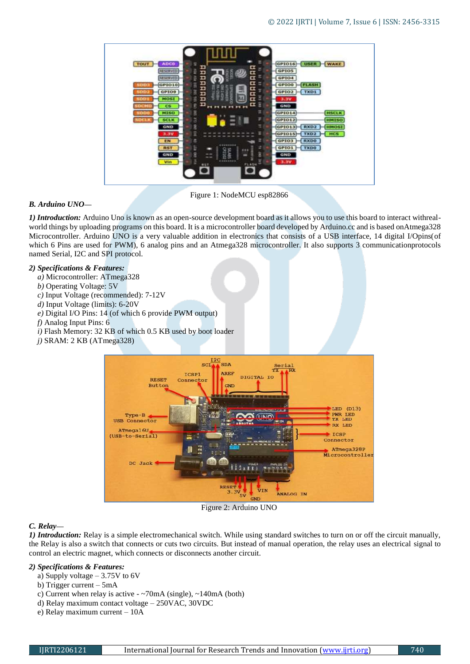

Figure 1: NodeMCU esp82866

# *B. Arduino UNO—*

*1) Introduction:* Arduino Uno is known as an open-source development board as it allows you to use this board to interact withrealworld things by uploading programs on this board. It is a microcontroller board developed by Arduino.cc and is based onAtmega328 Microcontroller. Arduino UNO is a very valuable addition in electronics that consists of a USB interface, 14 digital I/Opins(of which 6 Pins are used for PWM), 6 analog pins and an Atmega328 microcontroller. It also supports 3 communicationprotocols named Serial, I2C and SPI protocol.

## *2) Specifications & Features:*

- *a)* Microcontroller: ATmega328
- *b)* Operating Voltage: 5V
- *c)* Input Voltage (recommended): 7-12V
- *d)* Input Voltage (limits): 6-20V
- *e)* Digital I/O Pins: 14 (of which 6 provide PWM output)
- *f)* Analog Input Pins: 6
- *i)* Flash Memory: 32 KB of which 0.5 KB used by boot loader
- *j)* SRAM: 2 KB (ATmega328)



Figure 2: Arduino UNO

# *C. Relay—*

*1) Introduction:* Relay is a simple electromechanical switch. While using standard switches to turn on or off the circuit manually, the Relay is also a switch that connects or cuts two circuits. But instead of manual operation, the relay uses an electrical signal to control an electric magnet, which connects or disconnects another circuit.

### *2) Specifications & Features:*

- a) Supply voltage 3.75V to 6V
- b) Trigger current 5mA
- c) Current when relay is active ~70mA (single), ~140mA (both)
- d) Relay maximum contact voltage 250VAC, 30VDC
- e) Relay maximum current 10A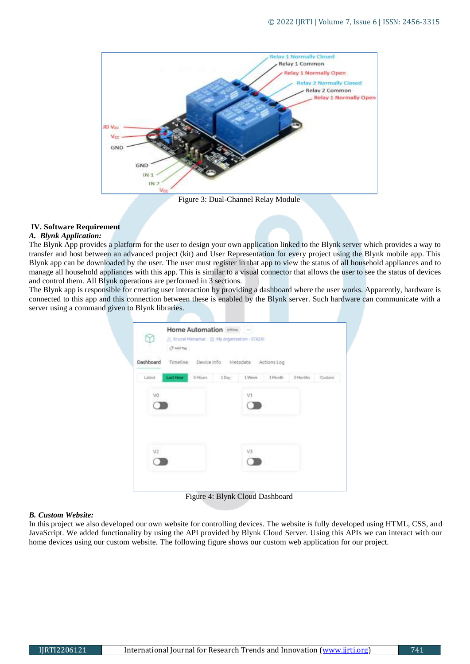

### Figure 3: Dual-Channel Relay Module

# **IV. Software Requirement**

### *A. Blynk Application:*

The Blynk App provides a platform for the user to design your own application linked to the Blynk server which provides a way to transfer and host between an advanced project (kit) and User Representation for every project using the Blynk mobile app. This Blynk app can be downloaded by the user. The user must register in that app to view the status of all household appliances and to manage all household appliances with this app. This is similar to a visual connector that allows the user to see the status of devices and control them. All Blynk operations are performed in 3 sections.

The Blynk app is responsible for creating user interaction by providing a dashboard where the user works. Apparently, hardware is connected to this app and this connection between these is enabled by the Blynk server. Such hardware can communicate with a server using a command given to Blynk libraries.

|           | $Q$ AUTH; |                                           |    |          |            |
|-----------|-----------|-------------------------------------------|----|----------|------------|
| Dashboard |           | Timeline Device Info Metadata Actions Log |    |          |            |
| Latest    | Last Hour | 6 Hours   1 Day   1 Week   1 Month        |    | 3 Months | Curriciny. |
| va        |           |                                           | V1 |          |            |
|           |           |                                           |    |          |            |
|           |           |                                           |    |          |            |
|           |           |                                           |    |          |            |
| V2.       |           |                                           | V3 |          |            |
|           |           |                                           |    |          |            |

Figure 4: Blynk Cloud Dashboard

### *B. Custom Website:*

In this project we also developed our own website for controlling devices. The website is fully developed using HTML, CSS, and JavaScript. We added functionality by using the API provided by Blynk Cloud Server. Using this APIs we can interact with our home devices using our custom website. The following figure shows our custom web application for our project.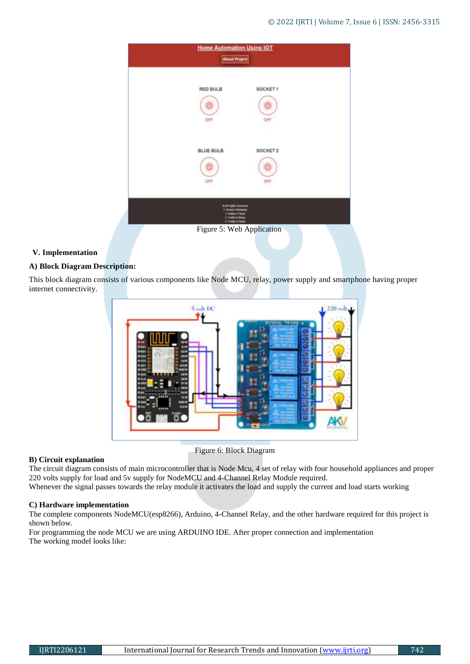|                                | <b>Home Automation Using IOT</b><br><b>About Project</b>                                                                                     |
|--------------------------------|----------------------------------------------------------------------------------------------------------------------------------------------|
| <b>RED BULB</b><br>OFF         | SOCKET <sub>1</sub><br>OFF                                                                                                                   |
| <b>BLUE BULB</b><br>OFF<br>התא | SOCKET 2<br>OFF                                                                                                                              |
|                                | <b>G.All Garin Downwei</b><br>1. Kousei A liacharba<br>2. Anklis A. Theats<br>IL PERMITASINAN<br>4 Photo Kilmow<br>Figure 5: Web Application |

# **V. Implementation**

# **A) Block Diagram Description:**

This block diagram consists of various components like Node MCU, relay, power supply and smartphone having proper internet connectivity.



Figure 6: Block Diagram

# **B) Circuit explanation**

The circuit diagram consists of main microcontroller that is Node Mcu, 4 set of relay with four household appliances and proper 220 volts supply for load and 5v supply for NodeMCU and 4-Channel Relay Module required.

Whenever the signal passes towards the relay module it activates the load and supply the current and load starts working

# **C) Hardware implementation**

The complete components NodeMCU(esp8266), Arduino, 4-Channel Relay, and the other hardware required for this project is shown below.

For programming the node MCU we are using ARDUINO IDE. After proper connection and implementation The working model looks like: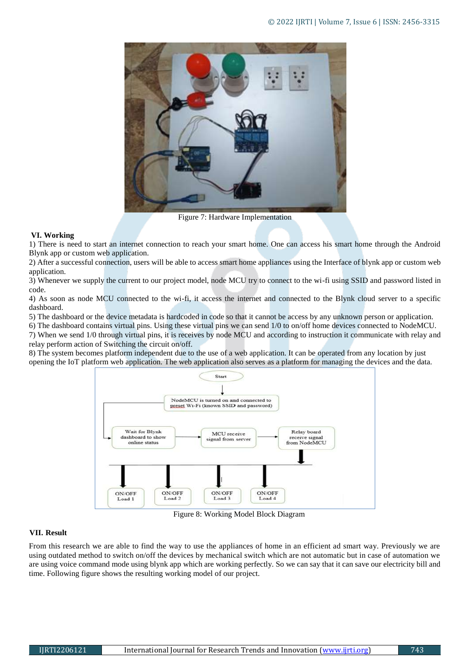

Figure 7: Hardware Implementation

## **VI. Working**

1) There is need to start an internet connection to reach your smart home. One can access his smart home through the Android Blynk app or custom web application.

2) After a successful connection, users will be able to access smart home appliances using the Interface of blynk app or custom web application.

3) Whenever we supply the current to our project model, node MCU try to connect to the wi-fi using SSID and password listed in code.

4) As soon as node MCU connected to the wi-fi, it access the internet and connected to the Blynk cloud server to a specific dashboard.

5) The dashboard or the device metadata is hardcoded in code so that it cannot be access by any unknown person or application.

6) The dashboard contains virtual pins. Using these virtual pins we can send 1/0 to on/off home devices connected to NodeMCU. 7) When we send 1/0 through virtual pins, it is receives by node MCU and according to instruction it communicate with relay and relay perform action of Switching the circuit on/off.

8) The system becomes platform independent due to the use of a web application. It can be operated from any location by just opening the IoT platform web application. The web application also serves as a platform for managing the devices and the data.



Figure 8: Working Model Block Diagram

# **VII. Result**

From this research we are able to find the way to use the appliances of home in an efficient ad smart way. Previously we are using outdated method to switch on/off the devices by mechanical switch which are not automatic but in case of automation we are using voice command mode using blynk app which are working perfectly. So we can say that it can save our electricity bill and time. Following figure shows the resulting working model of our project.